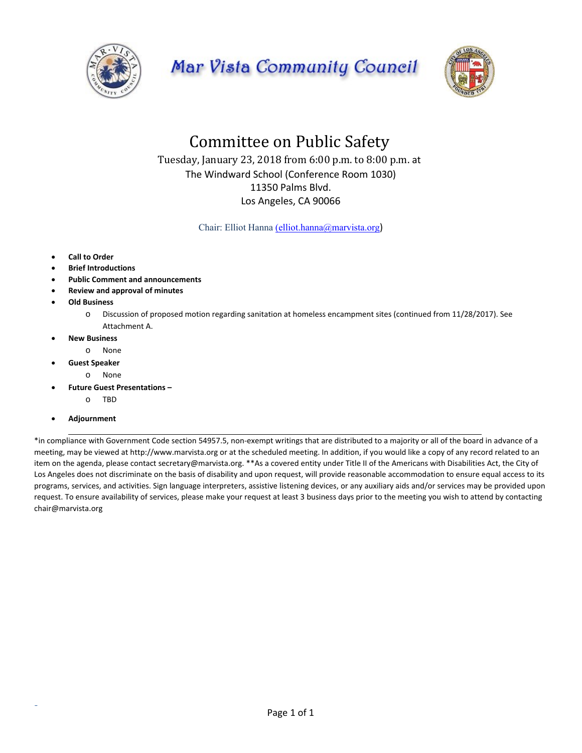

Mar Vista Community Council



Committee on Public Safety Tuesday, January 23, 2018 from 6:00 p.m. to 8:00 p.m. at The Windward School (Conference Room 1030) 11350 Palms Blvd. Los Angeles, CA 90066

Chair: Elliot Hanna (elliot.hanna@marvista.org)

- **Call to Order**
- **Brief Introductions**
- **Public Comment and announcements**
- **Review and approval of minutes**
- **Old Business** 
	- o Discussion of proposed motion regarding sanitation at homeless encampment sites (continued from 11/28/2017). See Attachment A.
- **New Business** 
	- o None
- **Guest Speaker** 
	- o None
- **Future Guest Presentations** 
	- o TBD
- **Adjournment**

S

\*in compliance with Government Code section 54957.5, non‐exempt writings that are distributed to a majority or all of the board in advance of a meeting, may be viewed at http://www.marvista.org or at the scheduled meeting. In addition, if you would like a copy of any record related to an item on the agenda, please contact secretary@marvista.org. \*\*As a covered entity under Title II of the Americans with Disabilities Act, the City of Los Angeles does not discriminate on the basis of disability and upon request, will provide reasonable accommodation to ensure equal access to its programs, services, and activities. Sign language interpreters, assistive listening devices, or any auxiliary aids and/or services may be provided upon request. To ensure availability of services, please make your request at least 3 business days prior to the meeting you wish to attend by contacting chair@marvista.org